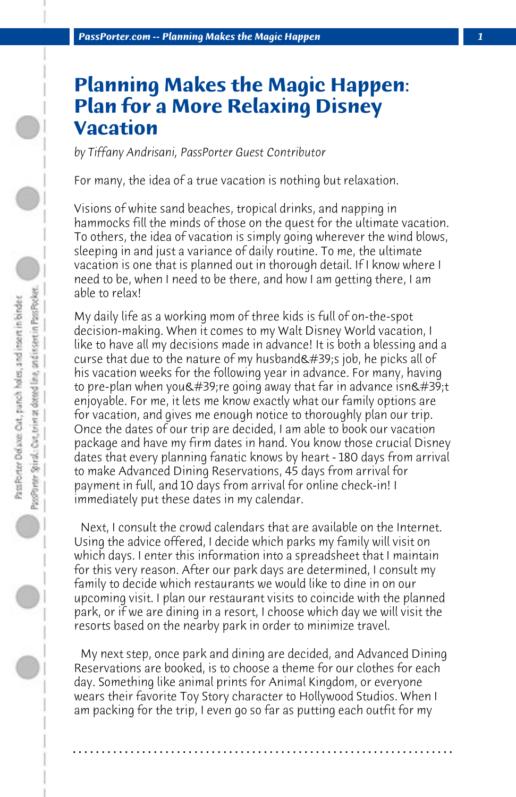## **Planning Makes the Magic Happen: Plan for a More Relaxing Disney Vacation**

*by Tiffany Andrisani, PassPorter Guest Contributor*

For many, the idea of a true vacation is nothing but relaxation.

Visions of white sand beaches, tropical drinks, and napping in hammocks fill the minds of those on the quest for the ultimate vacation. To others, the idea of vacation is simply going wherever the wind blows, sleeping in and just a variance of daily routine. To me, the ultimate vacation is one that is planned out in thorough detail. If I know where I need to be, when I need to be there, and how I am getting there, I am able to relax!

My daily life as a working mom of three kids is full of on-the-spot decision-making. When it comes to my Walt Disney World vacation, I like to have all my decisions made in advance! It is both a blessing and a curse that due to the nature of my husband  $\&\#39$ ;s job, he picks all of his vacation weeks for the following year in advance. For many, having to pre-plan when you  $\&\#39$ ; re going away that far in advance isn $&\#39$ ; t enjoyable. For me, it lets me know exactly what our family options are for vacation, and gives me enough notice to thoroughly plan our trip. Once the dates of our trip are decided, I am able to book our vacation package and have my firm dates in hand. You know those crucial Disney dates that every planning fanatic knows by heart - 180 days from arrival to make Advanced Dining Reservations, 45 days from arrival for payment in full, and 10 days from arrival for online check-in! I immediately put these dates in my calendar.

 Next, I consult the crowd calendars that are available on the Internet. Using the advice offered, I decide which parks my family will visit on which days. I enter this information into a spreadsheet that I maintain for this very reason. After our park days are determined, I consult my family to decide which restaurants we would like to dine in on our upcoming visit. I plan our restaurant visits to coincide with the planned park, or if we are dining in a resort, I choose which day we will visit the resorts based on the nearby park in order to minimize travel.

 My next step, once park and dining are decided, and Advanced Dining Reservations are booked, is to choose a theme for our clothes for each day. Something like animal prints for Animal Kingdom, or everyone wears their favorite Toy Story character to Hollywood Studios. When I am packing for the trip, I even go so far as putting each outfit for my

**. . . . . . . . . . . . . . . . . . . . . . . . . . . . . . . . . . . . . . . . . . . . . . . . . . . . . . . . . . . . . . . . . .**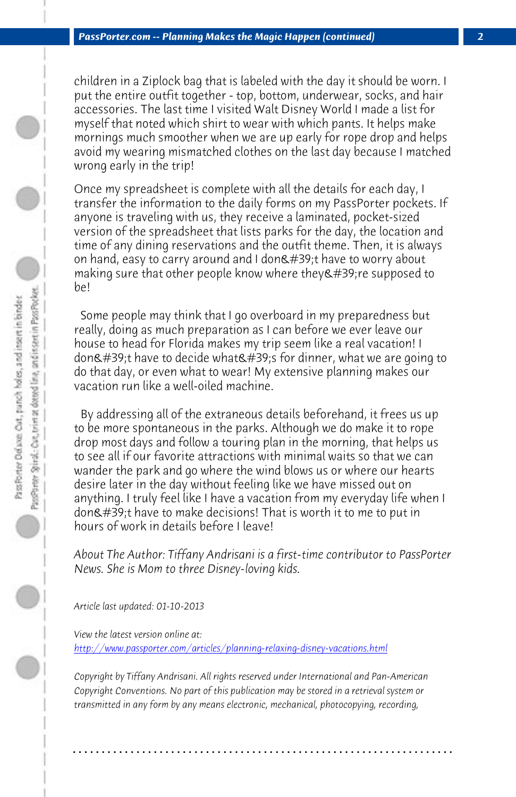*PassPorter.com -- Planning Makes the Magic Happen (continued) 2*

children in a Ziplock bag that is labeled with the day it should be worn. I put the entire outfit together - top, bottom, underwear, socks, and hair accessories. The last time I visited Walt Disney World I made a list for myself that noted which shirt to wear with which pants. It helps make mornings much smoother when we are up early for rope drop and helps avoid my wearing mismatched clothes on the last day because I matched wrong early in the trip!

Once my spreadsheet is complete with all the details for each day, I transfer the information to the daily forms on my PassPorter pockets. If anyone is traveling with us, they receive a laminated, pocket-sized version of the spreadsheet that lists parks for the day, the location and time of any dining reservations and the outfit theme. Then, it is always on hand, easy to carry around and I don't have to worry about making sure that other people know where they're supposed to be!

 Some people may think that I go overboard in my preparedness but really, doing as much preparation as I can before we ever leave our house to head for Florida makes my trip seem like a real vacation! I don't have to decide what's for dinner, what we are going to do that day, or even what to wear! My extensive planning makes our vacation run like a well-oiled machine.

 [By addressing all of the extraneous details beforehand, it fr](http://www.passporter.com/articles/planning-relaxing-disney-vacations.php)ees us up to be more spontaneous in the parks. Although we do make it to rope drop most days and follow a touring plan in the morning, that helps us to see all if our favorite attractions with minimal waits so that we can wander the park and go where the wind blows us or where our hearts desire later in the day without feeling like we have missed out on anything. I truly feel like I have a vacation from my everyday life when I don't have to make decisions! That is worth it to me to put in hours of work in details before I leave!

*About The Author: Tiffany Andrisani is a first-time contributor to PassPorter News. She is Mom to three Disney-loving kids.*

*Article last updated: 01-10-2013*

*View the latest version online at: http://www.passporter.com/articles/planning-relaxing-disney-vacations.html*

*Copyright by Tiffany Andrisani. All rights reserved under International and Pan-American Copyright Conventions. No part of this publication may be stored in a retrieval system or transmitted in any form by any means electronic, mechanical, photocopying, recording,*

**. . . . . . . . . . . . . . . . . . . . . . . . . . . . . . . . . . . . . . . . . . . . . . . . . . . . . . . . . . . . . . . . . .**